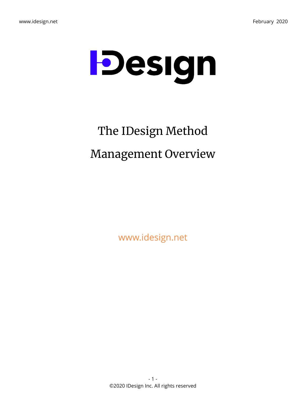

# The IDesign Method Management Overview

www.idesign.net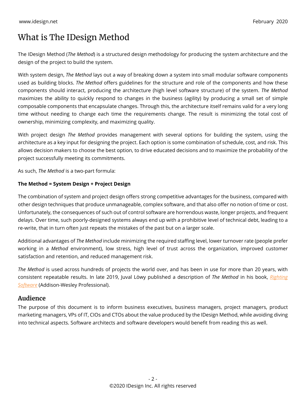# What is The IDesign Method

The IDesign Method (*The Method*) is a structured design methodology for producing the system architecture and the design of the project to build the system.

With system design, *The Method* lays out a way of breaking down a system into small modular software components used as building blocks. *The Method* offers guidelines for the structure and role of the components and how these components should interact, producing the architecture (high level software structure) of the system. *The Method* maximizes the ability to quickly respond to changes in the business (agility) by producing a small set of simple composable components that encapsulate changes. Through this, the architecture itself remains valid for a very long time without needing to change each time the requirements change. The result is minimizing the total cost of ownership, minimizing complexity, and maximizing quality.

With project design *The Method* provides management with several options for building the system, using the architecture as a key input for designing the project. Each option is some combination of schedule, cost, and risk. This allows decision makers to choose the best option, to drive educated decisions and to maximize the probability of the project successfully meeting its commitments.

As such, *The Method* is a two-part formula:

#### **The Method = System Design + Project Design**

The combination of system and project design offers strong competitive advantages for the business, compared with other design techniques that produce unmanageable, complex software, and that also offer no notion of time or cost. Unfortunately, the consequences of such out of control software are horrendous waste, longer projects, and frequent delays. Over time, such poorly-designed systems always end up with a prohibitive level of technical debt, leading to a re-write, that in turn often just repeats the mistakes of the past but on a larger scale.

Additional advantages of *The Method* include minimizing the required staffing level, lower turnover rate (people prefer working in a *Method* environment), low stress, high level of trust across the organization, improved customer satisfaction and retention, and reduced management risk.

*The Method* is used across hundreds of projects the world over, and has been in use for more than 20 years, with consistent repeatable results. In late 2019, Juval Löwy published a description of *The Method* in his book, *Righting Software* (Addison-Wesley Professional).

### **Audience**

The purpose of this document is to inform business executives, business managers, project managers, product marketing managers, VPs of IT, CIOs and CTOs about the value produced by the IDesign Method, while avoiding diving into technical aspects. Software architects and software developers would benefit from reading this as well.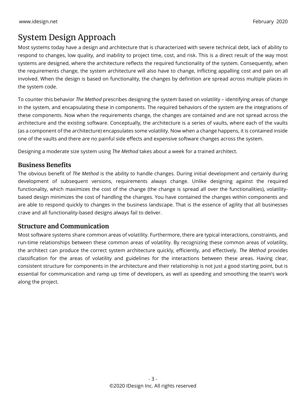# System Design Approach

Most systems today have a design and architecture that is characterized with severe technical debt, lack of ability to respond to changes, low quality, and inability to project time, cost, and risk. This is a direct result of the way most systems are designed, where the architecture reflects the required functionality of the system. Consequently, when the requirements change, the system architecture will also have to change, inflicting appalling cost and pain on all involved. When the design is based on functionality, the changes by definition are spread across multiple places in the system code.

To counter this behavior *The Method* prescribes designing the system based on volatility – identifying areas of change in the system, and encapsulating these in components. The required behaviors of the system are the integrations of these components. Now when the requirements change, the changes are contained and are not spread across the architecture and the existing software. Conceptually, the architecture is a series of vaults, where each of the vaults (as a component of the architecture) encapsulates some volatility. Now when a change happens, it is contained inside one of the vaults and there are no painful side effects and expensive software changes across the system.

Designing a moderate size system using *The Method* takes about a week for a trained architect.

### **Business Benefits**

The obvious benefit of *The Method* is the ability to handle changes. During initial development and certainly during development of subsequent versions, requirements always change. Unlike designing against the required functionality, which maximizes the cost of the change (the change is spread all over the functionalities), volatilitybased design minimizes the cost of handling the changes. You have contained the changes within components and are able to respond quickly to changes in the business landscape. That is the essence of agility that all businesses crave and all functionality-based designs always fail to deliver.

### **Structure and Communication**

Most software systems share common areas of volatility. Furthermore, there are typical interactions, constraints, and run-time relationships between these common areas of volatility. By recognizing these common areas of volatility, the architect can produce the correct system architecture quickly, efficiently, and effectively. *The Method* provides classification for the areas of volatility and guidelines for the interactions between these areas. Having clear, consistent structure for components in the architecture and their relationship is not just a good starting point, but is essential for communication and ramp up time of developers, as well as speeding and smoothing the team's work along the project.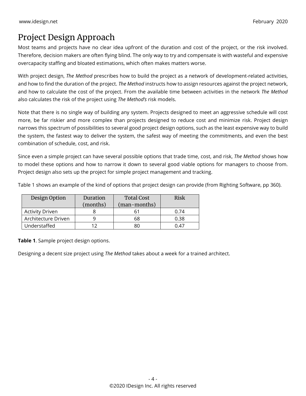# Project Design Approach

Most teams and projects have no clear idea upfront of the duration and cost of the project, or the risk involved. Therefore, decision makers are often flying blind. The only way to try and compensate is with wasteful and expensive overcapacity staffing and bloated estimations, which often makes matters worse.

With project design, *The Method* prescribes how to build the project as a network of development-related activities, and how to find the duration of the project. *The Method* instructs how to assign resources against the project network, and how to calculate the cost of the project. From the available time between activities in the network *The Method* also calculates the risk of the project using *The Method's* risk models.

Note that there is no single way of building any system. Projects designed to meet an aggressive schedule will cost more, be far riskier and more complex than projects designed to reduce cost and minimize risk. Project design narrows this spectrum of possibilities to several good project design options, such as the least expensive way to build the system, the fastest way to deliver the system, the safest way of meeting the commitments, and even the best combination of schedule, cost, and risk.

Since even a simple project can have several possible options that trade time, cost, and risk, *The Method* shows how to model these options and how to narrow it down to several good viable options for managers to choose from. Project design also sets up the project for simple project management and tracking.

Table 1 shows an example of the kind of options that project design can provide (from Righting Software, pp 360).

| Design Option          | Duration<br>(months) | <b>Total Cost</b><br>(man-months) | Risk |
|------------------------|----------------------|-----------------------------------|------|
| <b>Activity Driven</b> |                      |                                   | 0.74 |
| Architecture Driven    |                      | 68                                | 0.38 |
| Understaffed           |                      | 80                                | ገ 47 |

**Table 1**. Sample project design options.

Designing a decent size project using *The Method* takes about a week for a trained architect.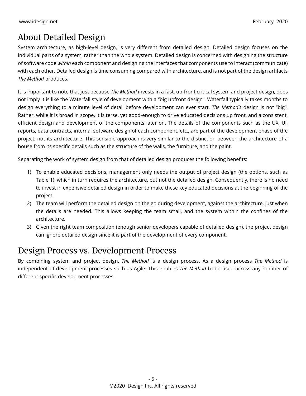# About Detailed Design

System architecture, as high-level design, is very different from detailed design. Detailed design focuses on the individual parts of a system, rather than the whole system. Detailed design is concerned with designing the structure of software code *within* each component and designing the interfaces that components use to interact (communicate) with each other. Detailed design is time consuming compared with architecture, and is not part of the design artifacts *The Method* produces.

It is important to note that just because *The Method* invests in a fast, up-front critical system and project design, does not imply it is like the Waterfall style of development with a "big upfront design". Waterfall typically takes months to design everything to a minute level of detail before development can ever start. *The Method's* design is not "big". Rather, while it is broad in scope, it is terse, yet good-enough to drive educated decisions up front, and a consistent, efficient design and development of the components later on. The details of the components such as the UX, UI, reports, data contracts, internal software design of each component, etc., are part of the development phase of the project, not its architecture. This sensible approach is very similar to the distinction between the architecture of a house from its specific details such as the structure of the walls, the furniture, and the paint.

Separating the work of system design from that of detailed design produces the following benefits:

- 1) To enable educated decisions, management only needs the output of project design (the options, such as Table 1), which in turn requires the architecture, but not the detailed design. Consequently, there is no need to invest in expensive detailed design in order to make these key educated decisions at the beginning of the project.
- 2) The team will perform the detailed design on the go during development, against the architecture, just when the details are needed. This allows keeping the team small, and the system within the confines of the architecture.
- 3) Given the right team composition (enough senior developers capable of detailed design), the project design can ignore detailed design since it is part of the development of every component.

### Design Process vs. Development Process

By combining system and project design, *The Method* is a design process. As a design process *The Method* is independent of development processes such as Agile. This enables *The Method* to be used across any number of different specific development processes.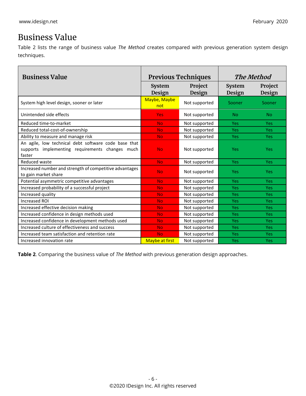# Business Value

Table 2 lists the range of business value *The Method* creates compared with previous generation system design techniques.

| <b>Business Value</b>                                                                                                | <b>Previous Techniques</b> |                   | The Method              |                   |
|----------------------------------------------------------------------------------------------------------------------|----------------------------|-------------------|-------------------------|-------------------|
|                                                                                                                      | <b>System</b><br>Design    | Project<br>Design | <b>System</b><br>Design | Project<br>Design |
| System high level design, sooner or later                                                                            | Maybe, Maybe<br>not        | Not supported     | Sooner                  | Sooner            |
| Unintended side effects                                                                                              | <b>Yes</b>                 | Not supported     | <b>No</b>               | N <sub>o</sub>    |
| Reduced time-to-market                                                                                               | <b>No</b>                  | Not supported     | Yes                     | <b>Yes</b>        |
| Reduced total-cost-of-ownership                                                                                      | <b>No</b>                  | Not supported     | <b>Yes</b>              | <b>Yes</b>        |
| Ability to measure and manage risk                                                                                   | <b>No</b>                  | Not supported     | <b>Yes</b>              | <b>Yes</b>        |
| An agile, low technical debt software code base that<br>implementing requirements changes much<br>supports<br>faster | <b>No</b>                  | Not supported     | Yes                     | Yes               |
| Reduced waste                                                                                                        | <b>No</b>                  | Not supported     | Yes                     | <b>Yes</b>        |
| Increased number and strength of competitive advantages<br>to gain market share                                      | <b>No</b>                  | Not supported     | Yes                     | <b>Yes</b>        |
| Potential asymmetric competitive advantages                                                                          | <b>No</b>                  | Not supported     | Yes                     | <b>Yes</b>        |
| Increased probability of a successful project                                                                        | <b>No</b>                  | Not supported     | <b>Yes</b>              | <b>Yes</b>        |
| Increased quality                                                                                                    | <b>No</b>                  | Not supported     | <b>Yes</b>              | <b>Yes</b>        |
| Increased ROI                                                                                                        | <b>No</b>                  | Not supported     | <b>Yes</b>              | <b>Yes</b>        |
| Increased effective decision making                                                                                  | <b>No</b>                  | Not supported     | <b>Yes</b>              | <b>Yes</b>        |
| Increased confidence in design methods used                                                                          | <b>No</b>                  | Not supported     | Yes                     | <b>Yes</b>        |
| Increased confidence in development methods used                                                                     | <b>No</b>                  | Not supported     | <b>Yes</b>              | <b>Yes</b>        |
| Increased culture of effectiveness and success                                                                       | <b>No</b>                  | Not supported     | <b>Yes</b>              | <b>Yes</b>        |
| Increased team satisfaction and retention rate                                                                       | <b>No</b>                  | Not supported     | Yes                     | <b>Yes</b>        |
| Increased innovation rate                                                                                            | <b>Maybe at first</b>      | Not supported     | Yes                     | Yes               |

**Table 2**. Comparing the business value of *The Method* with previous generation design approaches.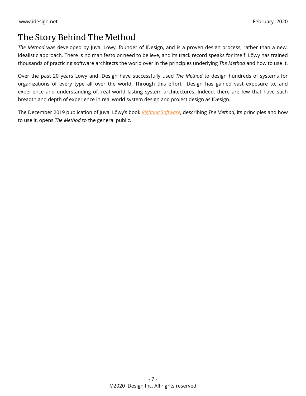# The Story Behind The Method

*The Method* was developed by Juval Löwy, founder of IDesign, and is a proven design process, rather than a new, idealistic approach. There is no manifesto or need to believe, and its track record speaks for itself. Löwy has trained thousands of practicing software architects the world over in the principles underlying *The Method* and how to use it.

Over the past 20 years Löwy and IDesign have successfully used *The Method* to design hundreds of systems for organizations of every type all over the world. Through this effort, IDesign has gained vast exposure to, and experience and understanding of, real world lasting system architectures. Indeed, there are few that have such breadth and depth of experience in real world system design and project design as IDesign.

The December 2019 publication of Juval Löwy's book *[Righting Software](https://www.amazon.com/dp/0136524036)*, describing *The Method*, its principles and how to use it, opens *The Method* to the general public.